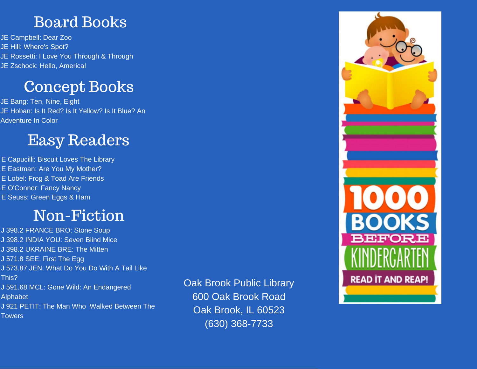#### Board Books

JE Campbell: Dear Zoo JE Hill: Where's Spot? JE Rossetti: I Love You Through & Through JE Zschock: Hello, America!

## Concept Books

JE Bang: Ten, Nine, Eight JE Hoban: Is It Red? Is It Yellow? Is It Blue? An Adventure In Color

#### Easy Readers

E Capucilli: Biscuit Loves The Library E Eastman: Are You My Mother? E Lobel: Frog & Toad Are Friends E O'Connor: Fancy Nancy E Seuss: Green Eggs & Ham

## Non-Fiction

J 398.2 FRANCE BRO: Stone Soup J 398.2 INDIA YOU: Seven Blind Mice J 398.2 UKRAINE BRE: The Mitten J 571.8 SEE: First The Egg J 573.87 JEN: What Do You Do With A Tail Like This? J 591.68 MCL: Gone Wild: An Endangered Alphabet J 921 PETIT: The Man Who Walked Between The **Towers** 

Oak Brook Public Library 600 Oak Brook Road Oak Brook, IL 60523 (630) 368-7733